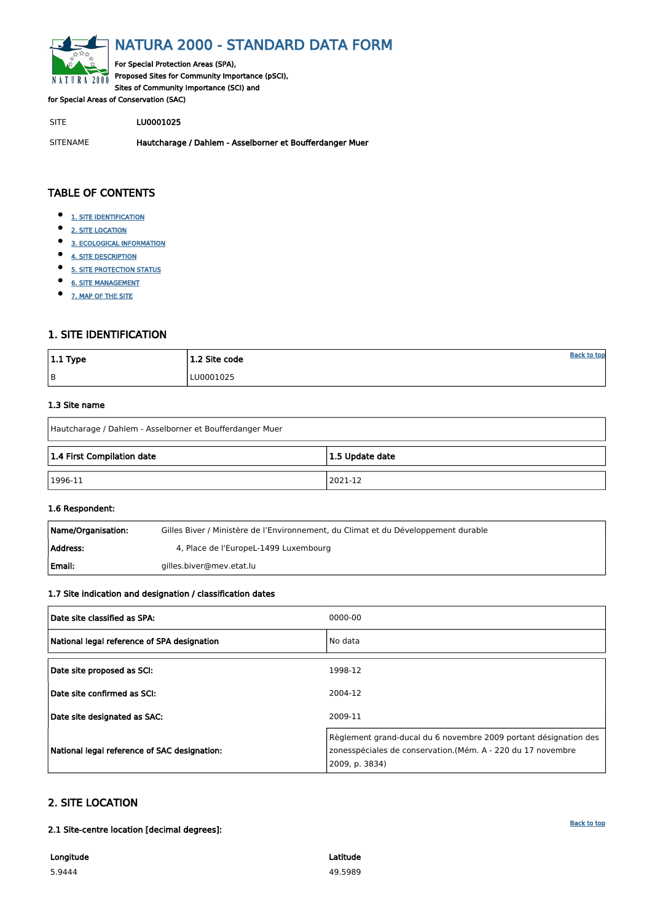<span id="page-0-0"></span>

# NATURA 2000 - STANDARD DATA FORM

For Special Protection Areas (SPA), Proposed Sites for Community Importance (pSCI), Sites of Community Importance (SCI) and

for Special Areas of Conservation (SAC)

SITE LU0001025

SITENAME Hautcharage / Dahlem - Asselborner et Boufferdanger Muer

| $ 1.1$ Type | 1.2 Site code | <b>Back to top</b> |
|-------------|---------------|--------------------|
| B           | LU0001025     |                    |

# TABLE OF CONTENTS

- $\bullet$ [1. SITE IDENTIFICATION](#page-0-1)
- $\bullet$ [2. SITE LOCATION](#page-0-2)
- $\bullet$ [3. ECOLOGICAL INFORMATION](#page-1-0)
- $\bullet$ [4. SITE DESCRIPTION](#page-2-0)
- $\bullet$ **[5. SITE PROTECTION STATUS](#page-3-0)**
- $\bullet$ [6. SITE MANAGEMENT](#page-4-0)
- [7. MAP OF THE SITE](#page-4-1)  $\bullet$

| Name/Organisation: | Gilles Biver / Ministère de l'Environnement, du Climat et du Développement durable |
|--------------------|------------------------------------------------------------------------------------|
| Address:           | 4, Place de l'EuropeL-1499 Luxembourg                                              |
| Email:             | gilles.biver@mev.etat.lu                                                           |

# <span id="page-0-1"></span>1. SITE IDENTIFICATION

### 1.3 Site name

| Hautcharage / Dahlem - Asselborner et Boufferdanger Muer |  |  |  |  |  |  |  |
|----------------------------------------------------------|--|--|--|--|--|--|--|
| 1.4 First Compilation date<br>1.5 Update date            |  |  |  |  |  |  |  |
| $ 1996-11$<br>2021-12                                    |  |  |  |  |  |  |  |

### 1.6 Respondent:

# 1.7 Site indication and designation / classification dates

| Date site classified as SPA:                | 0000-00 |
|---------------------------------------------|---------|
| National legal reference of SPA designation | No data |
| Date site proposed as SCI:                  | 1998-12 |
| Date site confirmed as SCI:                 | 2004-12 |

| Date site designated as SAC:                 | 2009-11                                                                                                                                           |
|----------------------------------------------|---------------------------------------------------------------------------------------------------------------------------------------------------|
| National legal reference of SAC designation: | Règlement grand-ducal du 6 novembre 2009 portant désignation des<br>zonesspéciales de conservation.(Mém. A - 220 du 17 novembre<br>2009, p. 3834) |

# <span id="page-0-2"></span>2. SITE LOCATION

2.1 Site-centre location [decimal degrees]:

Longitude

5.9444

Latitude 49.5989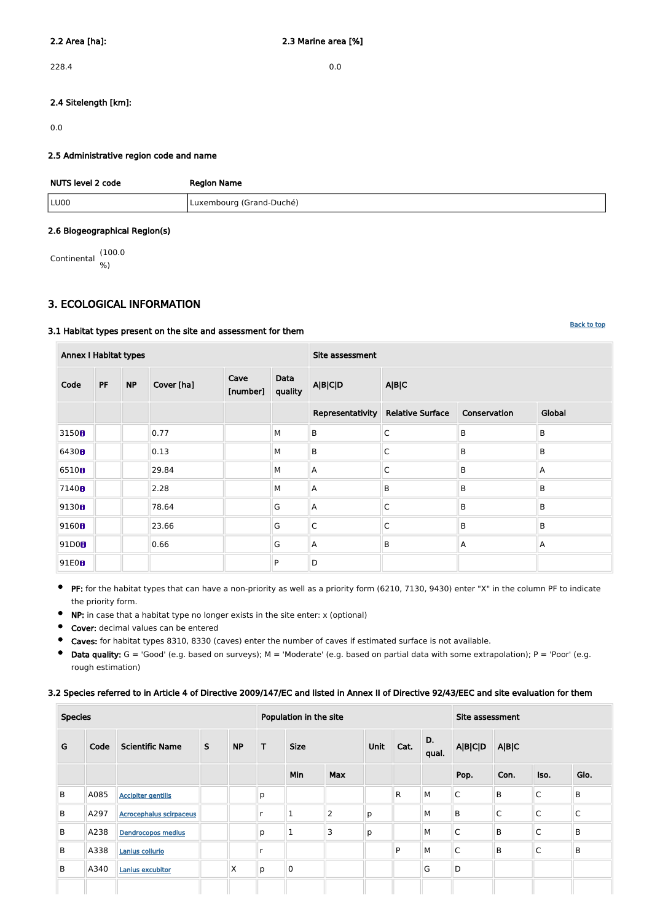228.4 0.0

# 2.4 Sitelength [km]:

0.0

# 2.5 Administrative region code and name

| NUTS level 2 code | <b>Region Name</b>       |
|-------------------|--------------------------|
| LU00              | Luxembourg (Grand-Duché) |

### 2.6 Biogeographical Region(s)

Continental (100.0 %)

# <span id="page-1-0"></span>3. ECOLOGICAL INFORMATION

### 3.1 Habitat types present on the site and assessment for them

**•** PF: for the habitat types that can have a non-priority as well as a priority form (6210, 7130, 9430) enter "X" in the column PF to indicate the priority form.

| <b>Annex I Habitat types</b> |           |           |            |                  |                 | Site assessment  |                         |                |         |  |
|------------------------------|-----------|-----------|------------|------------------|-----------------|------------------|-------------------------|----------------|---------|--|
| Code                         | <b>PF</b> | <b>NP</b> | Cover [ha] | Cave<br>[number] | Data<br>quality | <b>A B C D</b>   | A B C                   |                |         |  |
|                              |           |           |            |                  |                 | Representativity | <b>Relative Surface</b> | Conservation   | Global  |  |
| 3150 <sub>0</sub>            |           |           | 0.77       |                  | M               | B                | $\mathsf C$             | B              | B       |  |
| 6430H                        |           |           | 0.13       |                  | М               | B                | $\mathsf C$             | B              | B       |  |
| 6510 <sub>0</sub>            |           |           | 29.84      |                  | M               | $\overline{A}$   | $\mathsf C$             | B              | A       |  |
| 7140 <sub>0</sub>            |           |           | 2.28       |                  | M               | $\overline{A}$   | B                       | B              | B       |  |
| 9130 <sub>0</sub>            |           |           | 78.64      |                  | G               | $\overline{A}$   | $\mathsf C$             | B              | B       |  |
| 9160 <sub>0</sub>            |           |           | 23.66      |                  | G               | $\overline{C}$   | $\mathsf C$             | B              | $\sf B$ |  |
| 91D0B                        |           |           | 0.66       |                  | G               | A                | B                       | $\overline{A}$ | A       |  |
| 91E0B                        |           |           |            |                  | P               | D                |                         |                |         |  |

- NP: in case that a habitat type no longer exists in the site enter: x (optional)  $\bullet$
- Cover: decimal values can be entered  $\bullet$
- Caves: for habitat types 8310, 8330 (caves) enter the number of caves if estimated surface is not available.  $\bullet$
- $\bullet$ Data quality:  $G = 'Good'$  (e.g. based on surveys);  $M = 'Modern'$  (e.g. based on partial data with some extrapolation);  $P = 'Poor'$  (e.g. rough estimation)

### 3.2 Species referred to in Article 4 of Directive 2009/147/EC and listed in Annex II of Directive 92/43/EEC and site evaluation for them

| <b>Species</b> |      |                                |              | Population in the site |                  |              |                     |   |              | Site assessment |                |             |              |         |
|----------------|------|--------------------------------|--------------|------------------------|------------------|--------------|---------------------|---|--------------|-----------------|----------------|-------------|--------------|---------|
| G              | Code | <b>Scientific Name</b>         | $\mathsf{S}$ | <b>NP</b>              | T<br><b>Size</b> |              | <b>Unit</b><br>Cat. |   | D.<br>qual.  | <b>A B C D</b>  | A B C          |             |              |         |
|                |      |                                |              |                        |                  | Min          | <b>Max</b>          |   |              |                 | Pop.           | Con.        | Iso.         | Glo.    |
| B              | A085 | <b>Accipiter gentilis</b>      |              |                        | p                |              |                     |   | $\mathsf{R}$ | M               | $\overline{C}$ | B           | $\mathsf{C}$ | B       |
| B              | A297 | <b>Acrocephalus scirpaceus</b> |              |                        |                  | T            | $\overline{2}$      | p |              | M               | B              | $\mathsf C$ | $\mathsf{C}$ | lC.     |
| B              | A238 | <b>Dendrocopos medius</b>      |              |                        | p                | $\mathbf{1}$ | 3                   | p |              | M               | $\mathsf C$    | $\mathsf B$ | $\mathsf{C}$ | $\sf B$ |
| B              | A338 | Lanius collurio                |              |                        |                  |              |                     |   | P            | M               | $\overline{C}$ | $\mathsf B$ | $\mathsf{C}$ | $\sf B$ |
| B              | A340 | <b>Lanius excubitor</b>        |              | X                      | р                | $\mathbf 0$  |                     |   |              | G               | D              |             |              |         |
|                |      |                                |              |                        |                  |              |                     |   |              |                 |                |             |              |         |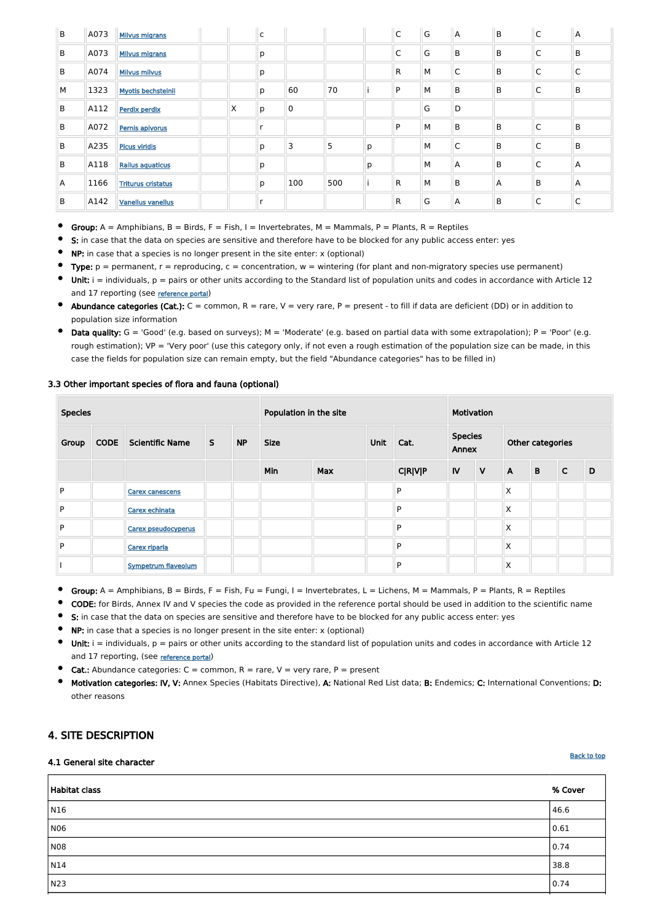| B | A073 | <b>Milvus migrans</b>     |   | $\overline{\mathsf{C}}$ |     |     |   | $\mathsf C$  | G | Α            | $\mathsf B$ | $\mathsf{C}$ | $\Lambda$ |
|---|------|---------------------------|---|-------------------------|-----|-----|---|--------------|---|--------------|-------------|--------------|-----------|
| B | A073 | <b>Milvus migrans</b>     |   | р                       |     |     |   | C            | G | B            | B           | C            | B         |
| B | A074 | <b>Milvus milvus</b>      |   | p                       |     |     |   | $\mathsf{R}$ | M | $\mathsf{C}$ | B           | $\mathsf{C}$ | C         |
| M | 1323 | <b>Myotis bechsteinii</b> |   | p                       | 60  | 70  |   | P            | M | B            | B           | C            | B         |
| B | A112 | <b>Perdix perdix</b>      | X | p                       | 0   |     |   |              | G | D            |             |              |           |
| B | A072 | Pernis apivorus           |   | r                       |     |     |   | P            | M | B            | B           | $\mathsf{C}$ | B         |
| B | A235 | <b>Picus viridis</b>      |   | p                       | 3   | 5   | p |              | M | $\mathsf{C}$ | B           | C            | B         |
| B | A118 | <b>Rallus aquaticus</b>   |   | p                       |     |     | p |              | M | A            | B           | C            | A         |
| A | 1166 | <b>Triturus cristatus</b> |   | p                       | 100 | 500 |   | $\mathsf{R}$ | M | B            | A           | B            | Α         |
| B | A142 | <b>Vanellus vanellus</b>  |   | r                       |     |     |   | $\mathsf{R}$ | G | A            | B           | C            | С         |

Group:  $A =$  Amphibians,  $B =$  Birds,  $F =$  Fish,  $I =$  Invertebrates,  $M =$  Mammals,  $P =$  Plants,  $R =$  Reptiles

- S: in case that the data on species are sensitive and therefore have to be blocked for any public access enter: yes  $\bullet$
- NP: in case that a species is no longer present in the site enter: x (optional)
- Type:  $p =$  permanent,  $r =$  reproducing,  $c =$  concentration,  $w =$  wintering (for plant and non-migratory species use permanent)
- Unit:  $i =$  individuals,  $p =$  pairs or other units according to the Standard list of population units and codes in accordance with Article 12 and 17 reporting (see [reference portal](http://bd.eionet.europa.eu/activities/Natura_2000/reference_portal))
- Abundance categories (Cat.):  $C =$  common,  $R =$  rare,  $V =$  very rare,  $P =$  present to fill if data are deficient (DD) or in addition to population size information
- Data quality:  $G = 'Good'$  (e.g. based on surveys);  $M = 'Modern'$  (e.g. based on partial data with some extrapolation);  $P = 'Poor'$  (e.g. rough estimation); VP = 'Very poor' (use this category only, if not even a rough estimation of the population size can be made, in this case the fields for population size can remain empty, but the field "Abundance categories" has to be filled in)

# Species **Population in the site Motivation** Motivation Application in the site Motivation Group CODE Scientific Name S NP Size Size Unit Cat. Species Annex Other categories Min Max C|R|V|P IV V A B C D P [Carex canescens](http://eunis.eea.europa.eu/species-names-result.jsp?&pageSize=10&scientificName=Carex+canescens&relationOp=2&typeForm=0&showGroup=true&showOrder=true&showFamily=true&showScientificName=true&showVernacularNames=true&showValidName=true&searchSynonyms=true&sort=2&ascendency=0) P X P [Carex echinata](http://eunis.eea.europa.eu/species-names-result.jsp?&pageSize=10&scientificName=Carex+echinata&relationOp=2&typeForm=0&showGroup=true&showOrder=true&showFamily=true&showScientificName=true&showVernacularNames=true&showValidName=true&searchSynonyms=true&sort=2&ascendency=0) P X P [Carex pseudocyperus](http://eunis.eea.europa.eu/species-names-result.jsp?&pageSize=10&scientificName=Carex+pseudocyperus&relationOp=2&typeForm=0&showGroup=true&showOrder=true&showFamily=true&showScientificName=true&showVernacularNames=true&showValidName=true&searchSynonyms=true&sort=2&ascendency=0) P X P [Carex riparia](http://eunis.eea.europa.eu/species-names-result.jsp?&pageSize=10&scientificName=Carex+riparia&relationOp=2&typeForm=0&showGroup=true&showOrder=true&showFamily=true&showScientificName=true&showVernacularNames=true&showValidName=true&searchSynonyms=true&sort=2&ascendency=0) P X I Note as a sympetrum flaveolum  $\|\cdot\|$   $\|\cdot\|$   $\|\cdot\|$  P  $\|\cdot\|$   $\|\cdot\|$   $\|\cdot\|$

# 3.3 Other important species of flora and fauna (optional)

- $\bullet$ Group:  $A =$  Amphibians,  $B =$  Birds,  $F =$  Fish,  $Fu =$  Fungi,  $I =$  Invertebrates,  $L =$  Lichens,  $M =$  Mammals,  $P =$  Plants,  $R =$  Reptiles
- $\bullet$ CODE: for Birds, Annex IV and V species the code as provided in the reference portal should be used in addition to the scientific name
- S: in case that the data on species are sensitive and therefore have to be blocked for any public access enter: yes
- NP: in case that a species is no longer present in the site enter: x (optional)
- Unit:  $i =$  individuals,  $p =$  pairs or other units according to the standard list of population units and codes in accordance with Article 12  $\bullet$ and 17 reporting, (see [reference portal](http://bd.eionet.europa.eu/activities/Natura_2000/reference_portal))
- **Cat.:** Abundance categories:  $C =$  common,  $R =$  rare,  $V =$  very rare,  $P =$  present
- Motivation categories: IV, V: Annex Species (Habitats Directive), A: National Red List data; B: Endemics; C: International Conventions; D:  $\bullet$

# <span id="page-2-0"></span>4. SITE DESCRIPTION

#### 4.1 General site character

| <b>Habitat class</b> | % Cover |
|----------------------|---------|
| N16                  | 46.6    |
| <b>N06</b>           | 0.61    |
| <b>N08</b>           | 0.74    |
| N14                  | 38.8    |
| N23                  | 0.74    |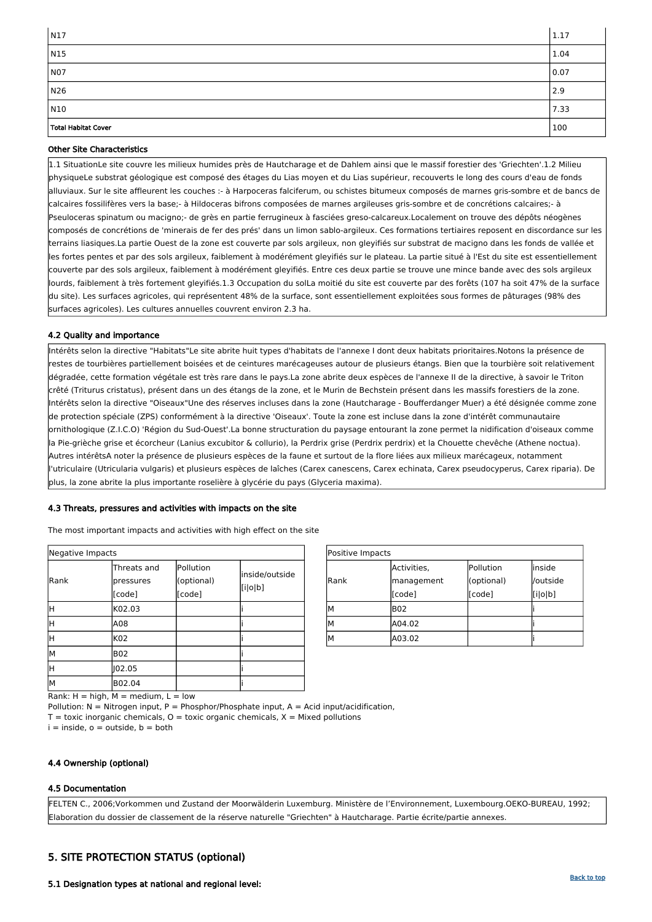

| Positive Impacts |             |            |          |  |  |  |  |
|------------------|-------------|------------|----------|--|--|--|--|
|                  | Activities, | Pollution  | linside  |  |  |  |  |
| Rank             | management  | (optional) | /outside |  |  |  |  |
|                  | [code]      | [code]     | [i o b]  |  |  |  |  |
| Μ                | <b>B02</b>  |            |          |  |  |  |  |
| М                | A04.02      |            |          |  |  |  |  |
| M                | A03.02      |            |          |  |  |  |  |

Rank:  $H = high$ ,  $M = medium$ ,  $L = low$ Pollution:  $N =$  Nitrogen input, P = Phosphor/Phosphate input, A = Acid input/acidification,  $T =$  toxic inorganic chemicals,  $O =$  toxic organic chemicals,  $X =$  Mixed pollutions  $i =$  inside,  $o =$  outside,  $b =$  both

| Negative Impacts |                                    |                                   |                           |  |  |  |  |
|------------------|------------------------------------|-----------------------------------|---------------------------|--|--|--|--|
| Rank             | Threats and<br>pressures<br>[code] | Pollution<br>(optional)<br>[code] | inside/outside<br>[i o b] |  |  |  |  |
| Η                | K02.03                             |                                   |                           |  |  |  |  |
| Η                | A08                                |                                   |                           |  |  |  |  |
| Η                | K02                                |                                   |                           |  |  |  |  |
| lМ               | <b>B02</b>                         |                                   |                           |  |  |  |  |
| Η                | 02.05                              |                                   |                           |  |  |  |  |
| M                | B02.04                             |                                   |                           |  |  |  |  |

| $\mid$ N17          | 1.17 |
|---------------------|------|
| $\sqrt{N15}$        | 1.04 |
| NO7                 | 0.07 |
| N26                 | 2.9  |
| N10                 | 7.33 |
| Total Habitat Cover | 100  |

# Other Site Characteristics

1.1 SituationLe site couvre les milieux humides près de Hautcharage et de Dahlem ainsi que le massif forestier des 'Griechten'.1.2 Milieu physiqueLe substrat géologique est composé des étages du Lias moyen et du Lias supérieur, recouverts le long des cours d'eau de fonds alluviaux. Sur le site affleurent les couches :- à Harpoceras falciferum, ou schistes bitumeux composés de marnes gris-sombre et de bancs de calcaires fossilifères vers la base;- à Hildoceras bifrons composées de marnes argileuses gris-sombre et de concrétions calcaires;- à Pseuloceras spinatum ou macigno;- de grès en partie ferrugineux à fasciées greso-calcareux.Localement on trouve des dépôts néogènes composés de concrétions de 'minerais de fer des prés' dans un limon sablo-argileux. Ces formations tertiaires reposent en discordance sur les terrains liasiques.La partie Ouest de la zone est couverte par sols argileux, non gleyifiés sur substrat de macigno dans les fonds de vallée et les fortes pentes et par des sols argileux, faiblement à modérément gleyifiés sur le plateau. La partie situé à l'Est du site est essentiellement couverte par des sols argileux, faiblement à modérément gleyifiés. Entre ces deux partie se trouve une mince bande avec des sols argileux lourds, faiblement à très fortement gleyifiés.1.3 Occupation du solLa moitié du site est couverte par des forêts (107 ha soit 47% de la surface du site). Les surfaces agricoles, qui représentent 48% de la surface, sont essentiellement exploitées sous formes de pâturages (98% des surfaces agricoles). Les cultures annuelles couvrent environ 2.3 ha.

# 4.2 Quality and importance

Intérêts selon la directive "Habitats"Le site abrite huit types d'habitats de l'annexe I dont deux habitats prioritaires.Notons la présence de restes de tourbières partiellement boisées et de ceintures marécageuses autour de plusieurs étangs. Bien que la tourbière soit relativement dégradée, cette formation végétale est très rare dans le pays.La zone abrite deux espèces de l'annexe II de la directive, à savoir le Triton crêté (Triturus cristatus), présent dans un des étangs de la zone, et le Murin de Bechstein présent dans les massifs forestiers de la zone. Intérêts selon la directive "Oiseaux"Une des réserves incluses dans la zone (Hautcharage - Boufferdanger Muer) a été désignée comme zone de protection spéciale (ZPS) conformément à la directive 'Oiseaux'. Toute la zone est incluse dans la zone d'intérêt communautaire ornithologique (Z.I.C.O) 'Région du Sud-Ouest'.La bonne structuration du paysage entourant la zone permet la nidification d'oiseaux comme la Pie-grièche grise et écorcheur (Lanius excubitor & collurio), la Perdrix grise (Perdrix perdrix) et la Chouette chevêche (Athene noctua). Autres intérêtsA noter la présence de plusieurs espèces de la faune et surtout de la flore liées aux milieux marécageux, notamment l'utriculaire (Utricularia vulgaris) et plusieurs espèces de laîches (Carex canescens, Carex echinata, Carex pseudocyperus, Carex riparia). De plus, la zone abrite la plus importante roselière à glycérie du pays (Glyceria maxima).

# 4.3 Threats, pressures and activities with impacts on the site

The most important impacts and activities with high effect on the site

### 4.4 Ownership (optional)

### 4.5 Documentation

FELTEN C., 2006;Vorkommen und Zustand der Moorwälderin Luxemburg. Ministère de l'Environnement, Luxembourg.OEKO-BUREAU, 1992; Elaboration du dossier de classement de la réserve naturelle "Griechten" à Hautcharage. Partie écrite/partie annexes.

# <span id="page-3-0"></span>5. SITE PROTECTION STATUS (optional)

5.1 Designation types at national and regional level: